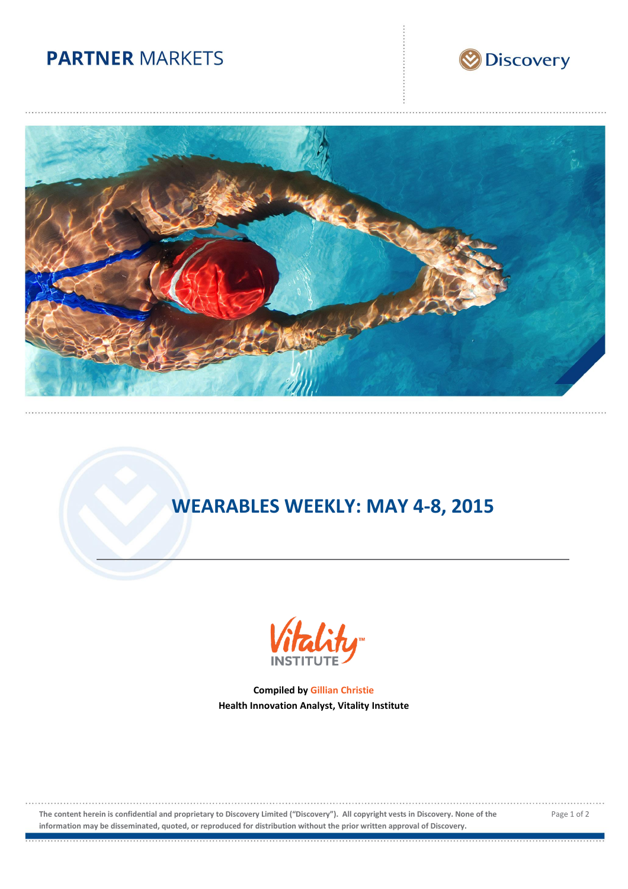## **PARTNER MARKETS**





# **WEARABLES WEEKLY: MAY 4-8, 2015**



**Compiled by Gillian Christie Health Innovation Analyst, Vitality Institute**

**The content herein is confidential and proprietary to Discovery Limited ("Discovery"). All copyright vests in Discovery. None of the information may be disseminated, quoted, or reproduced for distribution without the prior written approval of Discovery.**

Page 1 of 2